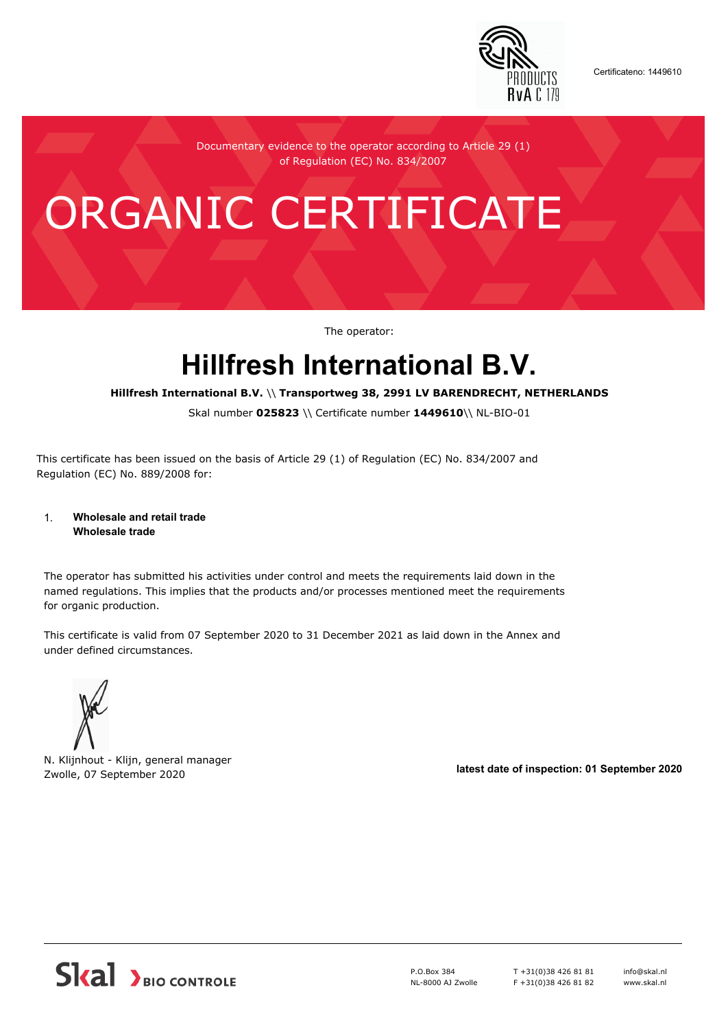

Certificateno: 1449610

Documentary evidence to the operator according to Article 29 (1) of Regulation (EC) No. 834/2007

# ORGANIC CERTIFICATE

The operator:

## **Hillfresh International B.V.**

**Hillfresh International B.V.** \\ **Transportweg 38, 2991 LV BARENDRECHT, NETHERLANDS**

Skal number **025823** \\ Certificate number **1449610**\\ NL-BIO-01

This certificate has been issued on the basis of Article 29 (1) of Regulation (EC) No. 834/2007 and Regulation (EC) No. 889/2008 for:

#### 1. **Wholesale and retail trade Wholesale trade**

The operator has submitted his activities under control and meets the requirements laid down in the named regulations. This implies that the products and/or processes mentioned meet the requirements for organic production.

This certificate is valid from 07 September 2020 to 31 December 2021 as laid down in the Annex and under defined circumstances.



N. Klijnhout - Klijn, general manager Zwolle, 07 September 2020 **latest date of inspection: 01 September 2020**



P.O.Box 384 NL-8000 AJ Zwolle